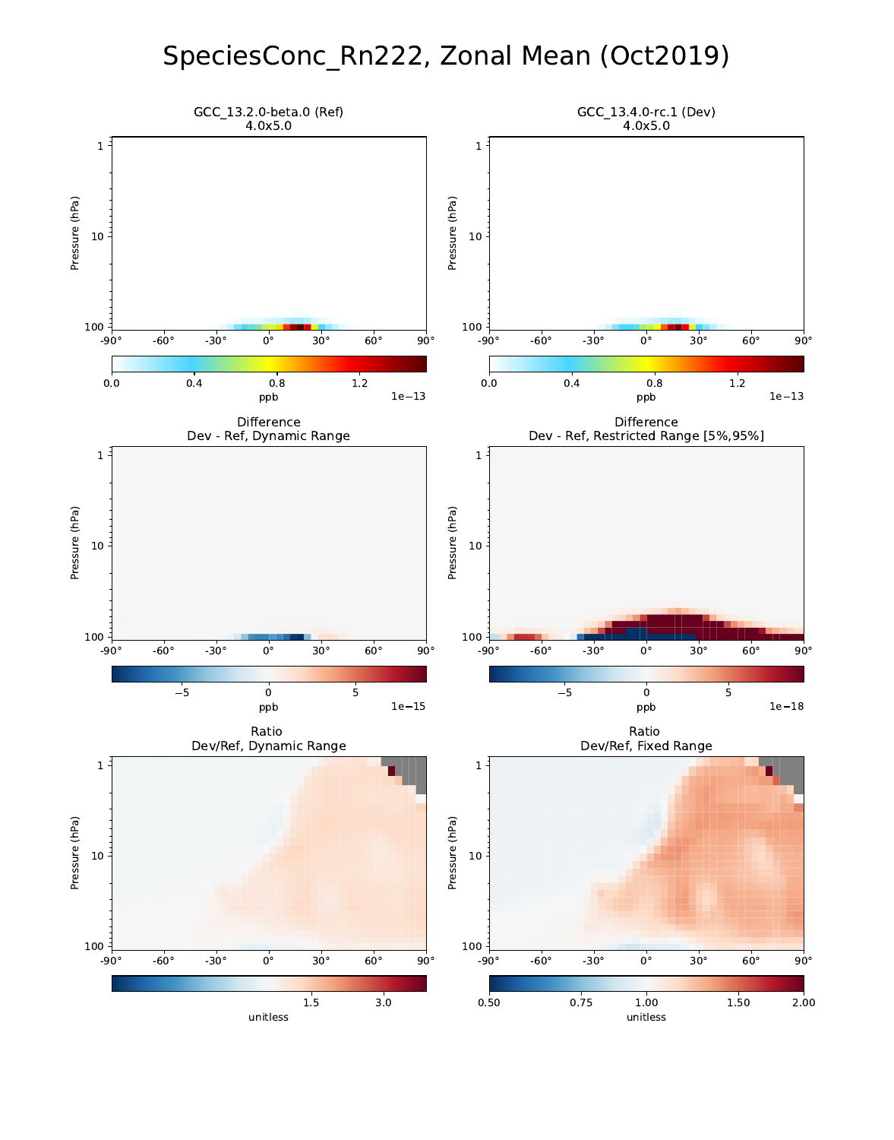## SpeciesConc\_Rn222, Zonal Mean (Oct2019)

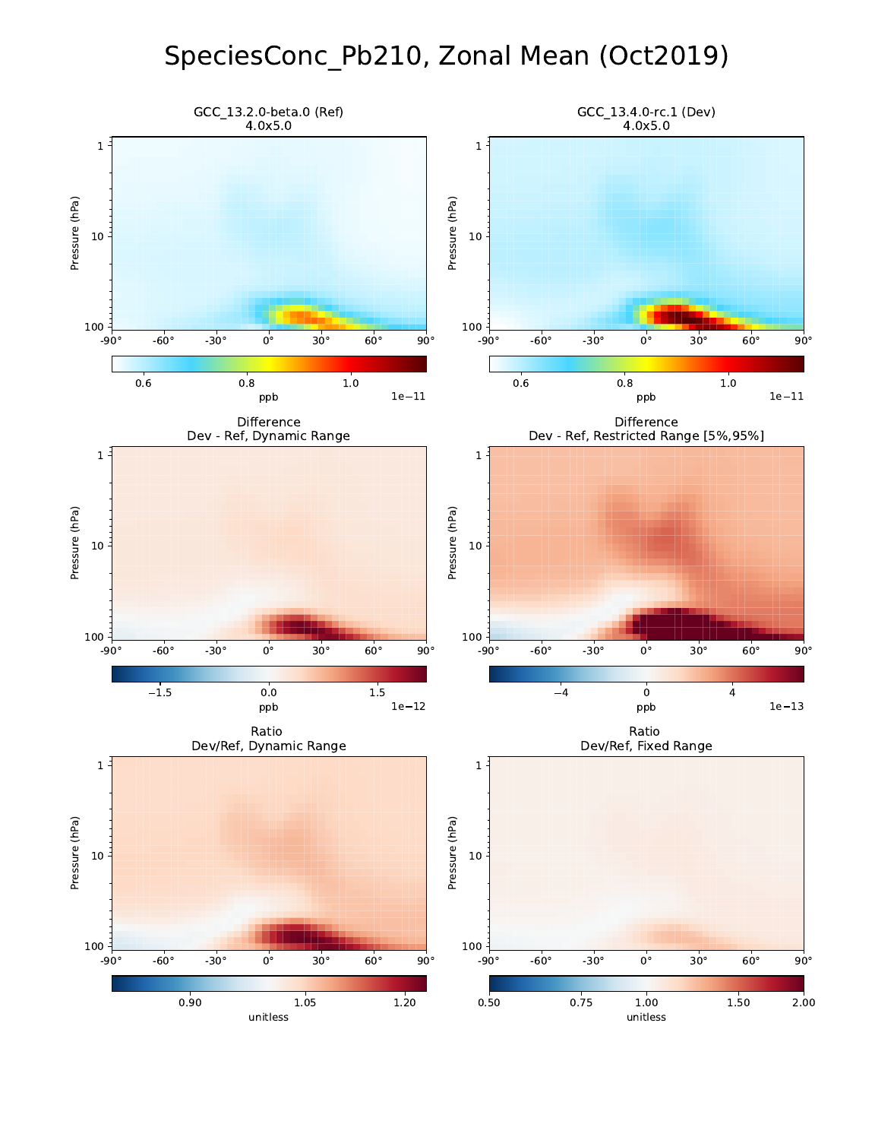## SpeciesConc\_Pb210, Zonal Mean (Oct2019)

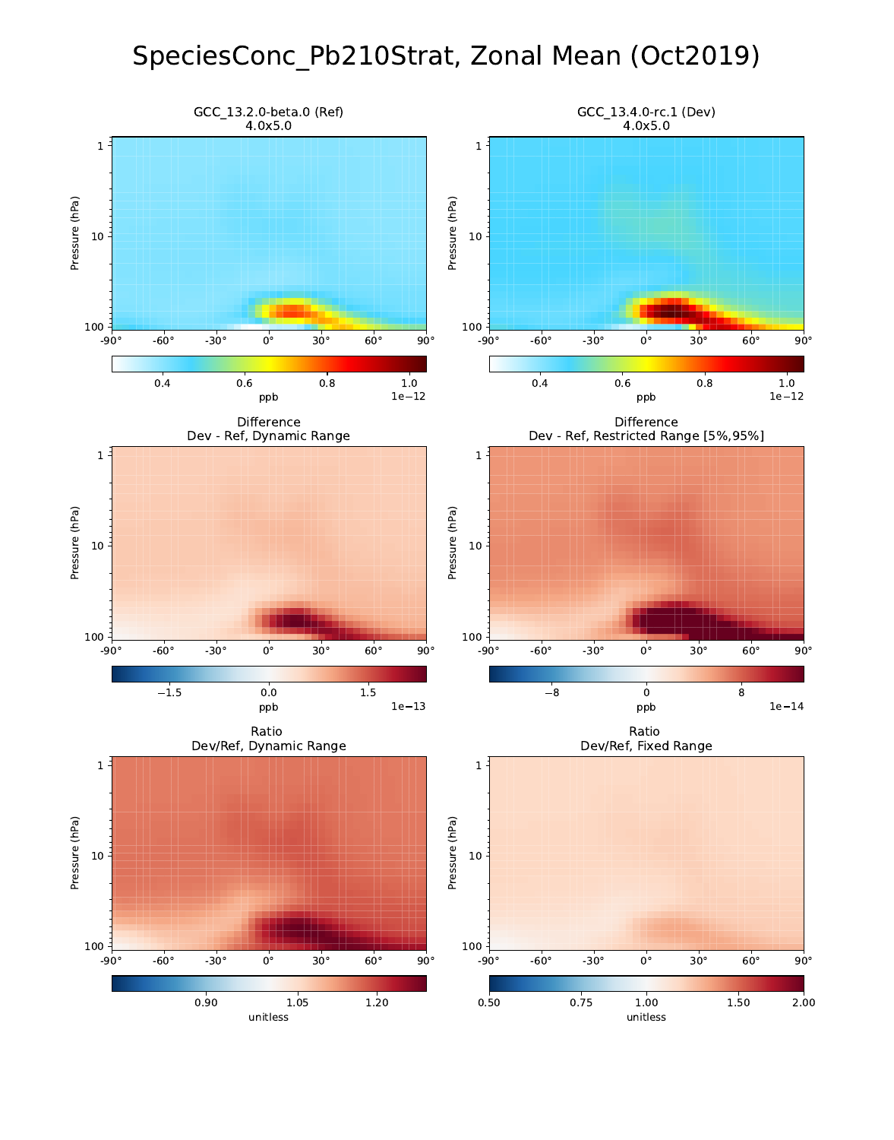## SpeciesConc\_Pb210Strat, Zonal Mean (Oct2019)

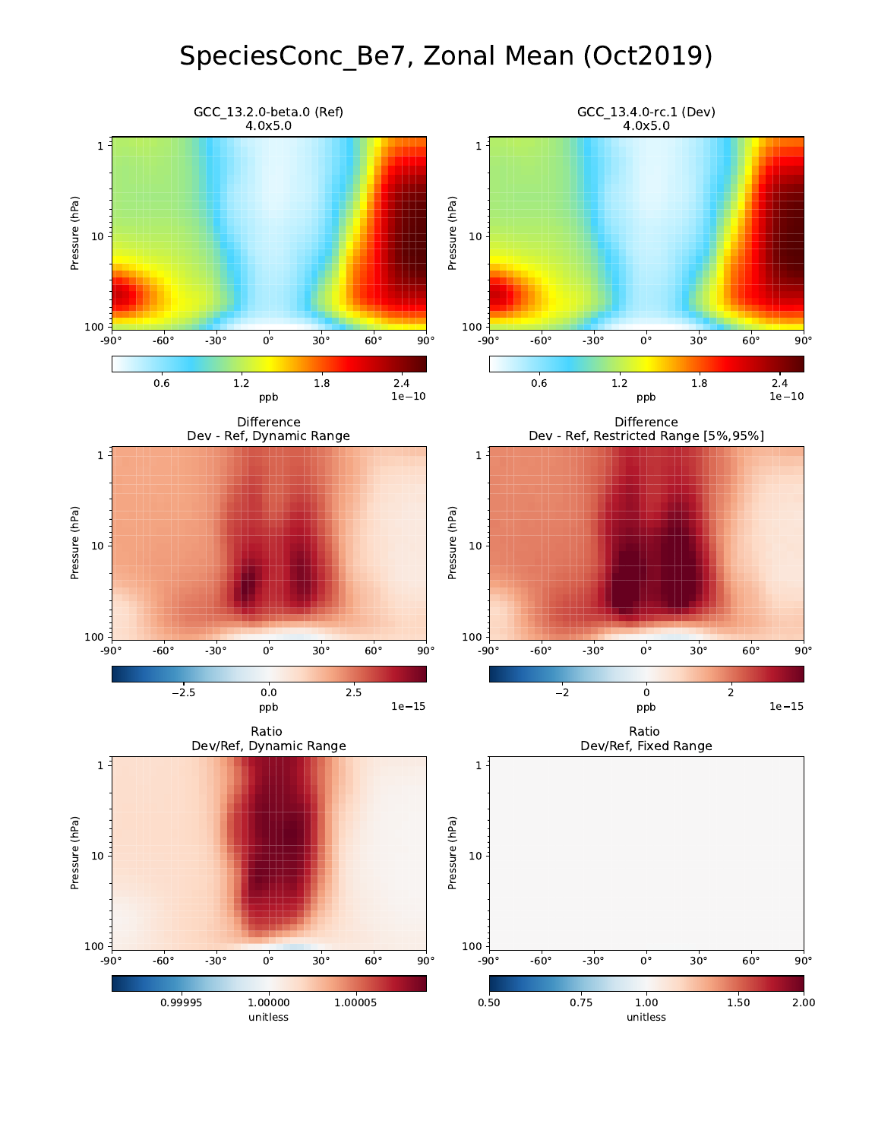## SpeciesConc\_Be7, Zonal Mean (Oct2019)

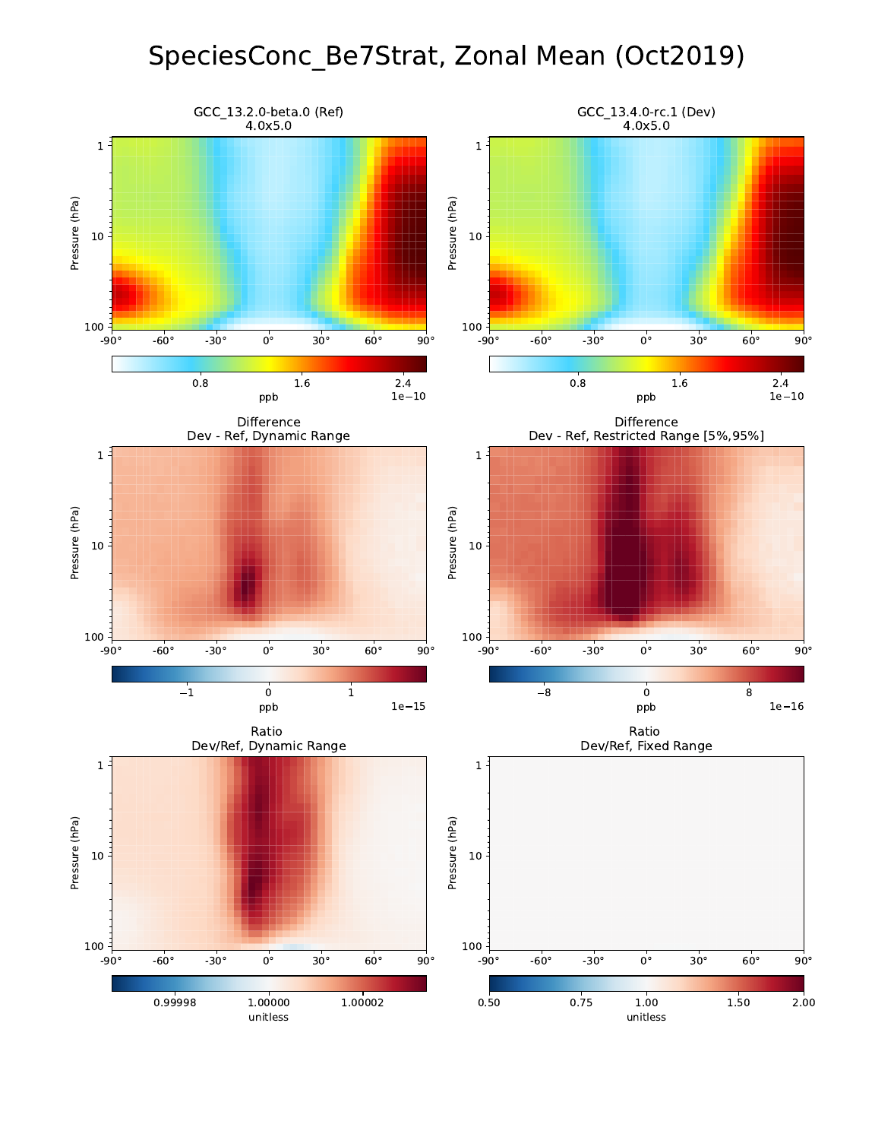## SpeciesConc\_Be7Strat, Zonal Mean (Oct2019)

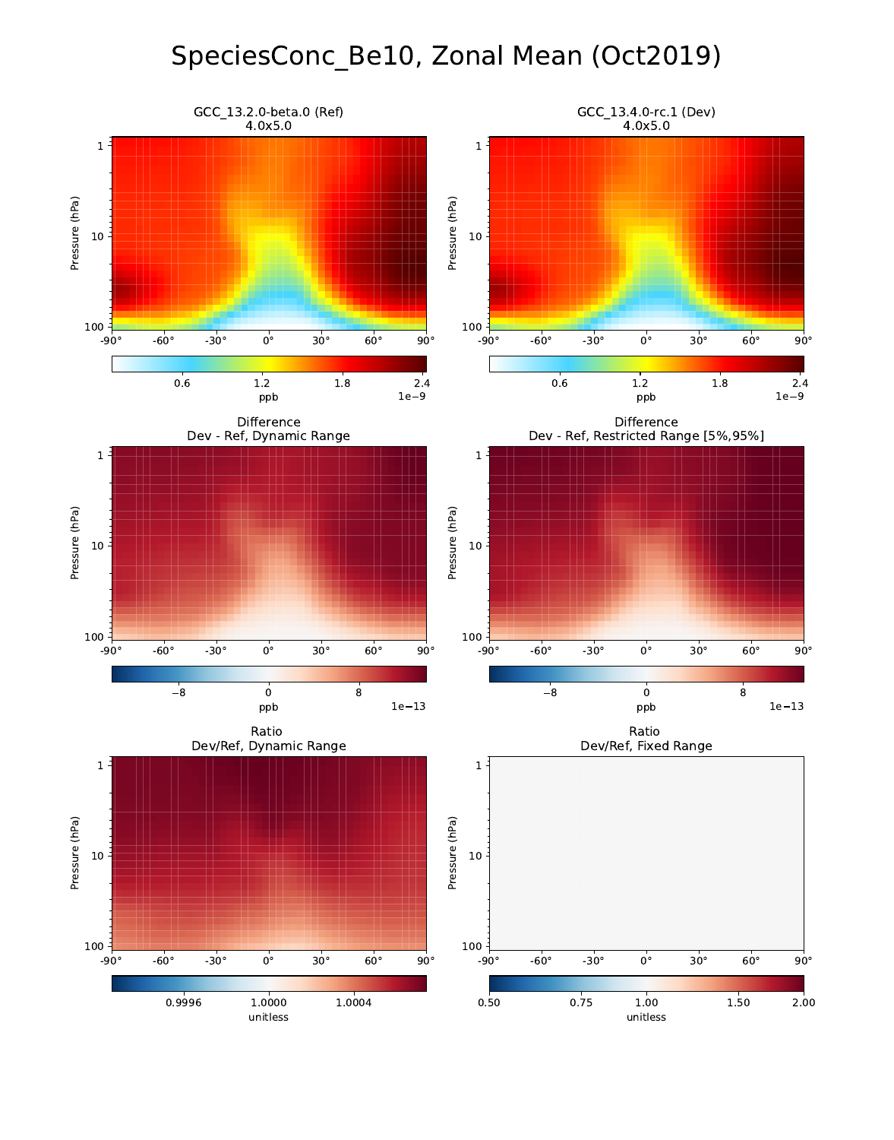# SpeciesConc\_Be10, Zonal Mean (Oct2019)